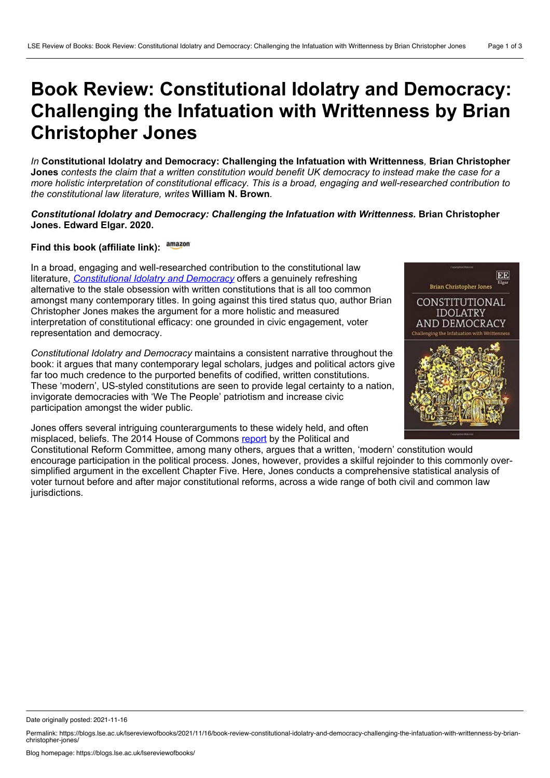## **Book Review: Constitutional Idolatry and Democracy: Challenging the Infatuation with Writtenness by Brian Christopher Jones**

*In* **Constitutional Idolatry and Democracy: Challenging the Infatuation with Writtenness***,* **Brian Christopher** Jones contests the claim that a written constitution would benefit UK democracy to instead make the case for a *more holistic interpretation of constitutional efficacy. This is a broad, engaging and well-researched contribution to the constitutional law literature, writes* **William N. Brown***.*

## *Constitutional Idolatry and Democracy: Challenging the Infatuation with Writtenness.* **Brian Christopher Jones. Edward Elgar. 2020.**

## **Find this book (affiliate link):**

In a broad, engaging and well-researched contribution to the constitutional law literature, *[Constitutional](https://www.e-elgar.com/shop/gbp/constitutional-idolatry-and-democracy-9781788971096.html) Idolatry and Democracy* offers a genuinely refreshing alternative to the stale obsession with written constitutions that is all too common amongst many contemporary titles. In going against this tired status quo, author Brian Christopher Jones makes the argument for a more holistic and measured interpretation of constitutional efficacy: one grounded in civic engagement, voter representation and democracy.

*Constitutional Idolatry and Democracy* maintains a consistent narrative throughout the book: it argues that many contemporary legal scholars, judges and political actors give far too much credence to the purported benefits of codified, written constitutions. These 'modern', US-styled constitutions are seen to provide legal certainty to a nation, invigorate democracies with 'We The People' patriotism and increase civic participation amongst the wider public.

Jones offers several intriguing counterarguments to these widely held, and often misplaced, beliefs. The 2014 House of Commons [report](https://publications.parliament.uk/pa/cm201415/cmselect/cmpolcon/463/46302.htm) by the Political and

Constitutional Reform Committee, among many others, argues that a written, 'modern' constitution would encourage participation in the political process. Jones, however, provides a skilful rejoinder to this commonly over simplified argument in the excellent Chapter Five. Here, Jones conducts a comprehensive statistical analysis of voter turnout before and after major constitutional reforms, across a wide range of both civil and common law jurisdictions.



Date originally posted: 2021-11-16

Permalink: https://blogs.lse.ac.uk/lsereviewofbooks/2021/11/16/book-review-constitutional-idolatry-and-democracy-challenging-the-infatuation-with-writtenness-by-brian-<br>christopher-jones/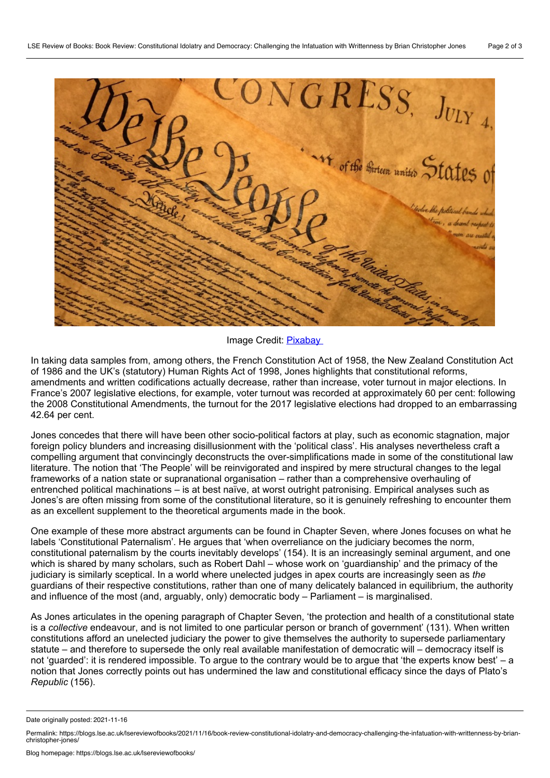$ONGRESS_{},\ _{J_{ULY_{4,}}}% \left( \mathcal{A},\mathcal{A}\right) \equiv\sum_{i,j=1}^{N}\sum_{j=1}^{N}\sum_{j=1}^{N}\sum_{j=1}^{N}\sum_{j=1}^{N}\sum_{j=1}^{N}\sum_{j=1}^{N}\sum_{j=1}^{N}\sum_{j=1}^{N}\sum_{j=1}^{N}\sum_{j=1}^{N}\sum_{j=1}^{N}\sum_{j=1}^{N}\sum_{j=1}^{N}\sum_{j=1}^{N}\sum_{j=1}^{N}\sum_{j=1}^{N}\sum_{j=1}^{N}\sum_{j=1}^{N}\sum_{j=1}^{N}\sum_{$ <sup>4</sup> of the thirteen united States 0

Image Credit: [Pixabay](https://pixabay.com/photos/paper-document-old-writing-vintage-3212015/)

In taking data samples from, among others, the French Constitution Act of 1958, the New Zealand Constitution Act of 1986 and the UK's (statutory) Human Rights Act of 1998, Jones highlights that constitutional reforms, amendments and written codifications actually decrease, rather than increase, voter turnout in major elections. In France's 2007 legislative elections, for example, voter turnout was recorded at approximately 60 per cent: following the 2008 Constitutional Amendments, the turnout for the 2017 legislative elections had dropped to an embarrassing 42.64 per cent.

Jones concedes that there will have been other socio-political factors at play, such as economic stagnation, major foreign policy blunders and increasing disillusionment with the 'political class'. His analyses nevertheless craft a compelling argument that convincingly deconstructs the over-simplifications made in some of the constitutional law literature. The notion that 'The People' will be reinvigorated and inspired by mere structural changes to the legal frameworks of a nation state or supranational organisation – rather than a comprehensive overhauling of entrenched political machinations – is at best naïve, at worst outright patronising. Empirical analyses such as Jones's are often missing from some of the constitutional literature, so it is genuinely refreshing to encounter them as an excellent supplement to the theoretical arguments made in the book.

One example of these more abstract arguments can be found in Chapter Seven, where Jones focuses on what he labels 'Constitutional Paternalism'. He argues that 'when overreliance on the judiciary becomes the norm, constitutional paternalism by the courts inevitably develops' (154). It is an increasingly seminal argument, and one which is shared by many scholars, such as Robert Dahl – whose work on 'guardianship' and the primacy of the judiciary is similarly sceptical. In a world where unelected judges in apex courts are increasingly seen as *the* guardians of their respective constitutions, rather than one of many delicately balanced in equilibrium, the authority and influence of the most (and, arguably, only) democratic body – Parliament – is marginalised.

As Jones articulates in the opening paragraph of Chapter Seven, 'the protection and health of a constitutional state is a *collective* endeavour, and is not limited to one particular person or branch of government' (131). When written constitutions afford an unelected judiciary the power to give themselves the authority to supersede parliamentary statute – and therefore to supersede the only real available manifestation of democratic will – democracy itself is not 'guarded': it is rendered impossible. To argue to the contrary would be to argue that 'the experts know best' – a notion that Jones correctly points out has undermined the law and constitutional efficacy since the days of Plato's *Republic* (156).

Date originally posted: 2021-11-16

Permalink: https://blogs.lse.ac.uk/lsereviewofbooks/2021/11/16/book-review-constitutional-idolatry-and-democracy-challenging-the-infatuation-with-writtenness-by-brian-<br>christopher-jones/